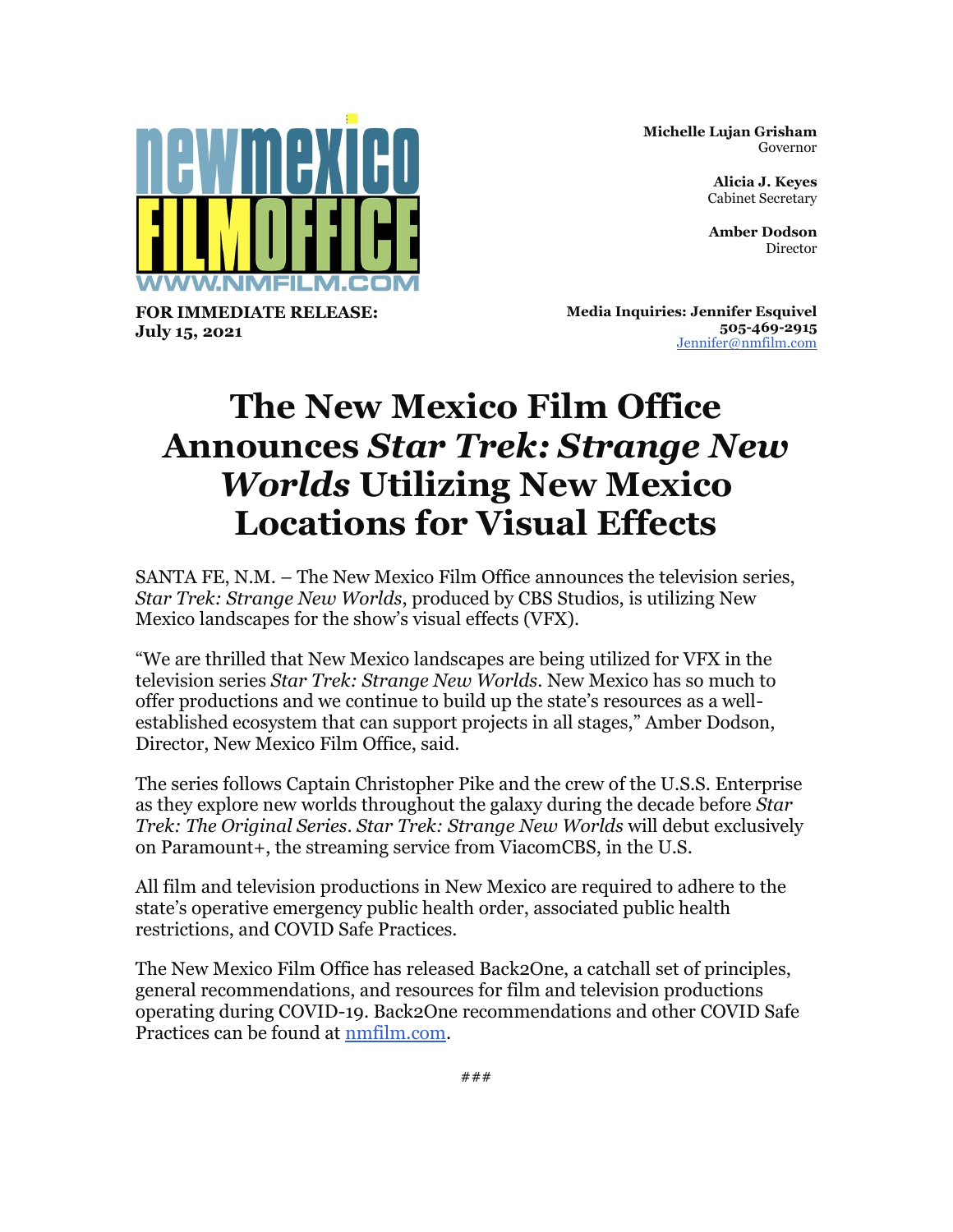

**Michelle Lujan Grisham** Governor

> **Alicia J. Keyes** Cabinet Secretary

**Amber Dodson** Director

**FOR IMMEDIATE RELEASE: July 15, 2021**

**Media Inquiries: Jennifer Esquivel 505-469-2915** [Jennifer@nmfilm.com](mailto:jennifer@nmfilm.com)

## **The New Mexico Film Office Announces** *Star Trek: Strange New Worlds* **Utilizing New Mexico Locations for Visual Effects**

SANTA FE, N.M. – The New Mexico Film Office announces the television series, *Star Trek: Strange New Worlds*, produced by CBS Studios, is utilizing New Mexico landscapes for the show's visual effects (VFX).

"We are thrilled that New Mexico landscapes are being utilized for VFX in the television series *Star Trek: Strange New Worlds*. New Mexico has so much to offer productions and we continue to build up the state's resources as a wellestablished ecosystem that can support projects in all stages," Amber Dodson, Director, New Mexico Film Office, said.

The series follows Captain Christopher Pike and the crew of the U.S.S. Enterprise as they explore new worlds throughout the galaxy during the decade before *Star Trek: The Original Series*. *Star Trek: Strange New Worlds* will debut exclusively on Paramount+, the streaming service from ViacomCBS, in the U.S.

All film and television productions in New Mexico are required to adhere to the state's operative emergency public health order, associated public health restrictions, and COVID Safe Practices.

The New Mexico Film Office has released Back2One, a catchall set of principles, general recommendations, and resources for film and television productions operating during COVID-19. Back2One recommendations and other COVID Safe Practices can be found at [nmfilm.com.](https://r20.rs6.net/tn.jsp?f=001smiCgCygydXrOzLWK-umnDJLU1t0Dux8_NBSrUzBJpnHQFCbxDYHI58glk_awVHpYDXdz1Xo7wXSntU7fJtvcYsmpLKG7Qid1JV8ZLNk_KzNoAklZJxiG-I1IYoVqSEBXd7-dX3kw-M=&c=ZZZ9WrgcnA-Q6caNJyKhs0Z9hVCEQpgWeSWF84oilVzkELy7BiifZw==&ch=9W_676a_srumIo9derFWKOuR_u5uT2UnprCvKTuZWhksdnHZiTFaZQ==)